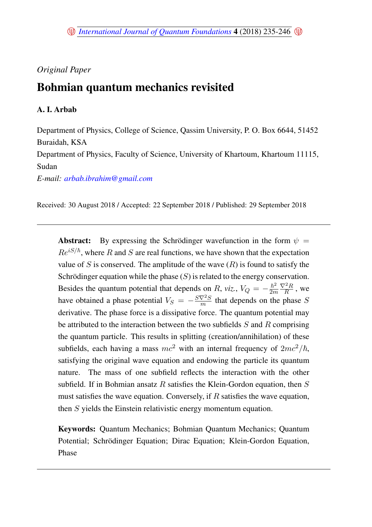# *Original Paper*

# Bohmian quantum mechanics revisited

## A. I. Arbab

Department of Physics, College of Science, Qassim University, P. O. Box 6644, 51452 Buraidah, KSA

Department of Physics, Faculty of Science, University of Khartoum, Khartoum 11115, Sudan

*E-mail: <arbab.ibrahim@gmail.com>*

Received: 30 August 2018 / Accepted: 22 September 2018 / Published: 29 September 2018

**Abstract:** By expressing the Schrödinger wavefunction in the form  $\psi =$  $Re^{iS/\hbar}$ , where R and S are real functions, we have shown that the expectation value of S is conserved. The amplitude of the wave  $(R)$  is found to satisfy the Schrödinger equation while the phase  $(S)$  is related to the energy conservation. Besides the quantum potential that depends on R, *viz.*,  $V_Q = -\frac{\hbar^2}{2m}$ 2m  $\nabla^2R$  $\frac{R}{R}$ , we have obtained a phase potential  $V_S = -\frac{S\nabla^2 S}{m}$  $\frac{\sqrt{2}S}{m}$  that depends on the phase S derivative. The phase force is a dissipative force. The quantum potential may be attributed to the interaction between the two subfields  $S$  and  $R$  comprising the quantum particle. This results in splitting (creation/annihilation) of these subfields, each having a mass  $mc^2$  with an internal frequency of  $2mc^2/\hbar$ , satisfying the original wave equation and endowing the particle its quantum nature. The mass of one subfield reflects the interaction with the other subfield. If in Bohmian ansatz  $R$  satisfies the Klein-Gordon equation, then  $S$ must satisfies the wave equation. Conversely, if  $R$  satisfies the wave equation, then S yields the Einstein relativistic energy momentum equation.

Keywords: Quantum Mechanics; Bohmian Quantum Mechanics; Quantum Potential; Schrödinger Equation; Dirac Equation; Klein-Gordon Equation, Phase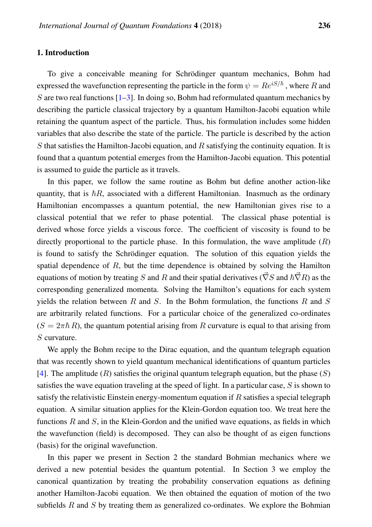## 1. Introduction

To give a conceivable meaning for Schrödinger quantum mechanics, Bohm had expressed the wavefunction representing the particle in the form  $\psi = Re^{iS/\hbar}$ , where R and S are two real functions  $[1-3]$  $[1-3]$ . In doing so, Bohm had reformulated quantum mechanics by describing the particle classical trajectory by a quantum Hamilton-Jacobi equation while retaining the quantum aspect of the particle. Thus, his formulation includes some hidden variables that also describe the state of the particle. The particle is described by the action S that satisfies the Hamilton-Jacobi equation, and  $R$  satisfying the continuity equation. It is found that a quantum potential emerges from the Hamilton-Jacobi equation. This potential is assumed to guide the particle as it travels.

In this paper, we follow the same routine as Bohm but define another action-like quantity, that is  $\hbar R$ , associated with a different Hamiltonian. Inasmuch as the ordinary Hamiltonian encompasses a quantum potential, the new Hamiltonian gives rise to a classical potential that we refer to phase potential. The classical phase potential is derived whose force yields a viscous force. The coefficient of viscosity is found to be directly proportional to the particle phase. In this formulation, the wave amplitude  $(R)$ is found to satisfy the Schrödinger equation. The solution of this equation yields the spatial dependence of  $R$ , but the time dependence is obtained by solving the Hamilton equations of motion by treating S and R and their spatial derivatives ( $\vec{\nabla}S$  and  $\hbar \vec{\nabla}R$ ) as the corresponding generalized momenta. Solving the Hamilton's equations for each system yields the relation between  $R$  and  $S$ . In the Bohm formulation, the functions  $R$  and  $S$ are arbitrarily related functions. For a particular choice of the generalized co-ordinates  $(S = 2\pi\hbar R)$ , the quantum potential arising from R curvature is equal to that arising from S curvature.

We apply the Bohm recipe to the Dirac equation, and the quantum telegraph equation that was recently shown to yield quantum mechanical identifications of quantum particles [\[4\]](#page-11-2). The amplitude  $(R)$  satisfies the original quantum telegraph equation, but the phase  $(S)$ satisfies the wave equation traveling at the speed of light. In a particular case,  $S$  is shown to satisfy the relativistic Einstein energy-momentum equation if  $R$  satisfies a special telegraph equation. A similar situation applies for the Klein-Gordon equation too. We treat here the functions  $R$  and  $S$ , in the Klein-Gordon and the unified wave equations, as fields in which the wavefunction (field) is decomposed. They can also be thought of as eigen functions (basis) for the original wavefunction.

In this paper we present in Section 2 the standard Bohmian mechanics where we derived a new potential besides the quantum potential. In Section 3 we employ the canonical quantization by treating the probability conservation equations as defining another Hamilton-Jacobi equation. We then obtained the equation of motion of the two subfields  $R$  and  $S$  by treating them as generalized co-ordinates. We explore the Bohmian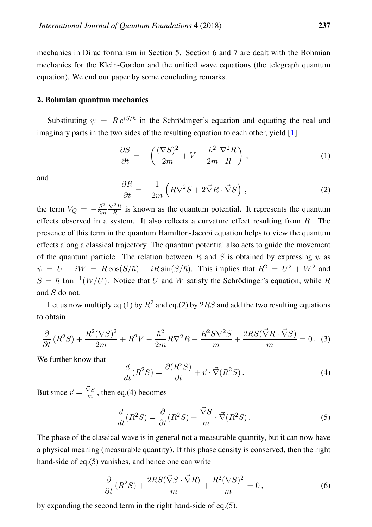mechanics in Dirac formalism in Section 5. Section 6 and 7 are dealt with the Bohmian mechanics for the Klein-Gordon and the unified wave equations (the telegraph quantum equation). We end our paper by some concluding remarks.

#### 2. Bohmian quantum mechanics

Substituting  $\psi = Re^{iS/\hbar}$  in the Schrödinger's equation and equating the real and imaginary parts in the two sides of the resulting equation to each other, yield [\[1\]](#page-11-0)

$$
\frac{\partial S}{\partial t} = -\left(\frac{(\nabla S)^2}{2m} + V - \frac{\hbar^2}{2m} \frac{\nabla^2 R}{R}\right),\tag{1}
$$

and

$$
\frac{\partial R}{\partial t} = -\frac{1}{2m} \left( R \nabla^2 S + 2 \vec{\nabla} R \cdot \vec{\nabla} S \right) , \qquad (2)
$$

the term  $V_Q = -\frac{\hbar^2}{2m}$ 2m  $\nabla^2R$  $\frac{R}{R}$  is known as the quantum potential. It represents the quantum effects observed in a system. It also reflects a curvature effect resulting from  $R$ . The presence of this term in the quantum Hamilton-Jacobi equation helps to view the quantum effects along a classical trajectory. The quantum potential also acts to guide the movement of the quantum particle. The relation between R and S is obtained by expressing  $\psi$  as  $\psi = U + iW = R\cos(S/\hbar) + iR\sin(S/\hbar)$ . This implies that  $R^2 = U^2 + W^2$  and  $S = \hbar \tan^{-1}(W/U)$ . Notice that U and W satisfy the Schrödinger's equation, while R and S do not.

Let us now multiply eq.(1) by  $R^2$  and eq.(2) by  $2RS$  and add the two resulting equations to obtain

$$
\frac{\partial}{\partial t}\left(R^2S\right) + \frac{R^2(\nabla S)^2}{2m} + R^2V - \frac{\hbar^2}{2m}R\nabla^2 R + \frac{R^2S\nabla^2 S}{m} + \frac{2RS(\vec{\nabla}R\cdot\vec{\nabla}S)}{m} = 0. \tag{3}
$$

We further know that

$$
\frac{d}{dt}(R^2S) = \frac{\partial(R^2S)}{\partial t} + \vec{v} \cdot \vec{\nabla}(R^2S). \tag{4}
$$

But since  $\vec{v} = \frac{\vec{\nabla}S}{m}$  $\frac{\sqrt{S}}{m}$ , then eq.(4) becomes

$$
\frac{d}{dt}(R^2S) = \frac{\partial}{\partial t}(R^2S) + \frac{\vec{\nabla}S}{m} \cdot \vec{\nabla}(R^2S). \tag{5}
$$

The phase of the classical wave is in general not a measurable quantity, but it can now have a physical meaning (measurable quantity). If this phase density is conserved, then the right hand-side of eq.(5) vanishes, and hence one can write

$$
\frac{\partial}{\partial t} (R^2 S) + \frac{2RS(\vec{\nabla} S \cdot \vec{\nabla} R)}{m} + \frac{R^2(\nabla S)^2}{m} = 0,
$$
\n(6)

by expanding the second term in the right hand-side of eq.(5).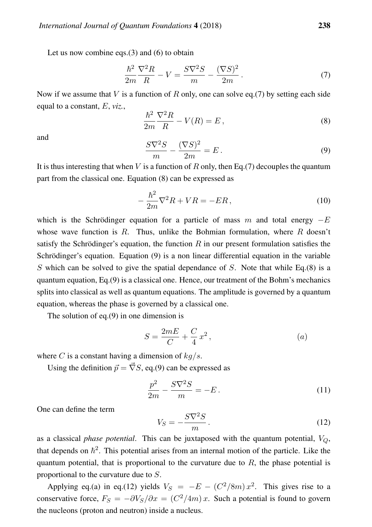Let us now combine eqs. $(3)$  and  $(6)$  to obtain

$$
\frac{\hbar^2}{2m}\frac{\nabla^2 R}{R} - V = \frac{S\nabla^2 S}{m} - \frac{(\nabla S)^2}{2m}.
$$
\n(7)

Now if we assume that V is a function of R only, one can solve eq.(7) by setting each side equal to a constant, E, *viz.*,

$$
\frac{\hbar^2}{2m}\frac{\nabla^2 R}{R} - V(R) = E\,,\tag{8}
$$

and

$$
\frac{S\nabla^2 S}{m} - \frac{(\nabla S)^2}{2m} = E.
$$
\n(9)

It is thus interesting that when V is a function of R only, then Eq. (7) decouples the quantum part from the classical one. Equation (8) can be expressed as

$$
-\frac{\hbar^2}{2m}\nabla^2 R + VR = -ER\,,\tag{10}
$$

which is the Schrödinger equation for a particle of mass m and total energy  $-E$ whose wave function is R. Thus, unlike the Bohmian formulation, where R doesn't satisfy the Schrödinger's equation, the function  $R$  in our present formulation satisfies the Schrödinger's equation. Equation (9) is a non linear differential equation in the variable S which can be solved to give the spatial dependance of  $S$ . Note that while Eq.(8) is a quantum equation, Eq.(9) is a classical one. Hence, our treatment of the Bohm's mechanics splits into classical as well as quantum equations. The amplitude is governed by a quantum equation, whereas the phase is governed by a classical one.

The solution of eq.(9) in one dimension is

$$
S = \frac{2mE}{C} + \frac{C}{4}x^2,
$$
\n<sup>(a)</sup>

where C is a constant having a dimension of  $kq/s$ .

Using the definition  $\vec{p} = \vec{\nabla} S$ , eq.(9) can be expressed as

$$
\frac{p^2}{2m} - \frac{S\nabla^2 S}{m} = -E.
$$
 (11)

One can define the term

$$
V_S = -\frac{S\nabla^2 S}{m}.
$$
\n(12)

as a classical *phase potential*. This can be juxtaposed with the quantum potential,  $V_Q$ , that depends on  $\hbar^2$ . This potential arises from an internal motion of the particle. Like the quantum potential, that is proportional to the curvature due to  $R$ , the phase potential is proportional to the curvature due to S.

Applying eq.(a) in eq.(12) yields  $V_S = -E - (C^2/8m)x^2$ . This gives rise to a conservative force,  $F_S = -\partial V_S / \partial x = (C^2 / 4m) x$ . Such a potential is found to govern the nucleons (proton and neutron) inside a nucleus.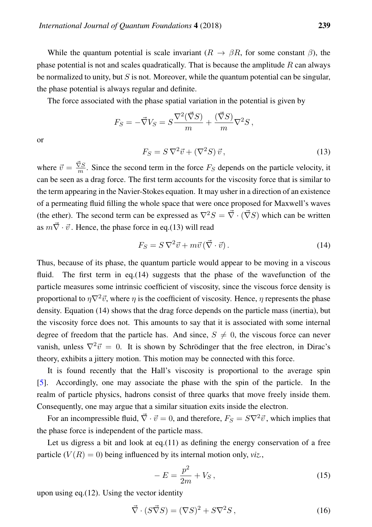While the quantum potential is scale invariant  $(R \to \beta R$ , for some constant  $\beta$ ), the phase potential is not and scales quadratically. That is because the amplitude  $R$  can always be normalized to unity, but  $S$  is not. Moreover, while the quantum potential can be singular, the phase potential is always regular and definite.

The force associated with the phase spatial variation in the potential is given by

$$
F_S = -\vec{\nabla}V_S = S \frac{\nabla^2(\vec{\nabla}S)}{m} + \frac{(\vec{\nabla}S)}{m}\nabla^2S,
$$

or

$$
F_S = S \nabla^2 \vec{v} + (\nabla^2 S) \vec{v},\tag{13}
$$

where  $\vec{v} = \frac{\vec{\nabla}S}{m}$  $\frac{\sqrt{S}}{m}$ . Since the second term in the force  $F_S$  depends on the particle velocity, it can be seen as a drag force. The first term accounts for the viscosity force that is similar to the term appearing in the Navier-Stokes equation. It may usher in a direction of an existence of a permeating fluid filling the whole space that were once proposed for Maxwell's waves (the ether). The second term can be expressed as  $\nabla^2 S = \vec{\nabla} \cdot (\vec{\nabla} S)$  which can be written as  $m\vec{\nabla} \cdot \vec{v}$ . Hence, the phase force in eq.(13) will read

$$
F_S = S \nabla^2 \vec{v} + m \vec{v} (\vec{\nabla} \cdot \vec{v}). \tag{14}
$$

Thus, because of its phase, the quantum particle would appear to be moving in a viscous fluid. The first term in eq.(14) suggests that the phase of the wavefunction of the particle measures some intrinsic coefficient of viscosity, since the viscous force density is proportional to  $\eta \nabla^2 \vec{v}$ , where  $\eta$  is the coefficient of viscosity. Hence,  $\eta$  represents the phase density. Equation (14) shows that the drag force depends on the particle mass (inertia), but the viscosity force does not. This amounts to say that it is associated with some internal degree of freedom that the particle has. And since,  $S \neq 0$ , the viscous force can never vanish, unless  $\nabla^2 \vec{v} = 0$ . It is shown by Schrödinger that the free electron, in Dirac's theory, exhibits a jittery motion. This motion may be connected with this force.

It is found recently that the Hall's viscosity is proportional to the average spin [\[5\]](#page-11-3). Accordingly, one may associate the phase with the spin of the particle. In the realm of particle physics, hadrons consist of three quarks that move freely inside them. Consequently, one may argue that a similar situation exits inside the electron.

For an incompressible fluid,  $\vec{\nabla} \cdot \vec{v} = 0$ , and therefore,  $F_S = S \nabla^2 \vec{v}$ , which implies that the phase force is independent of the particle mass.

Let us digress a bit and look at eq.(11) as defining the energy conservation of a free particle  $(V(R) = 0)$  being influenced by its internal motion only, *viz.*,

$$
- E = \frac{p^2}{2m} + V_S \,, \tag{15}
$$

upon using eq.(12). Using the vector identity

$$
\vec{\nabla} \cdot (S\vec{\nabla}S) = (\nabla S)^2 + S\nabla^2 S,\tag{16}
$$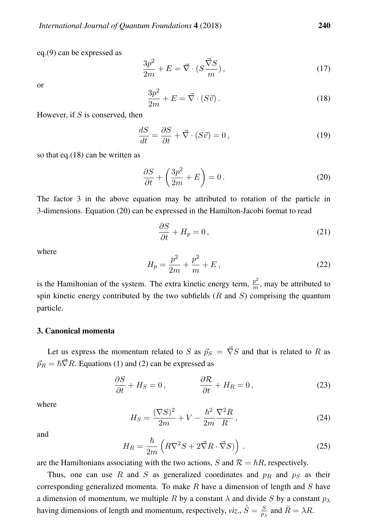eq.(9) can be expressed as

$$
\frac{3p^2}{2m} + E = \vec{\nabla} \cdot (S\frac{\vec{\nabla}S}{m}),\tag{17}
$$

or

$$
\frac{3p^2}{2m} + E = \vec{\nabla} \cdot (S\vec{v}).\tag{18}
$$

However, if  $S$  is conserved, then

$$
\frac{dS}{dt} = \frac{\partial S}{\partial t} + \vec{\nabla} \cdot (S\vec{v}) = 0,
$$
\n(19)

so that eq.(18) can be written as

$$
\frac{\partial S}{\partial t} + \left(\frac{3p^2}{2m} + E\right) = 0.
$$
\n(20)

The factor 3 in the above equation may be attributed to rotation of the particle in 3-dimensions. Equation (20) can be expressed in the Hamilton-Jacobi format to read

$$
\frac{\partial S}{\partial t} + H_p = 0, \qquad (21)
$$

where

$$
H_p = \frac{p^2}{2m} + \frac{p^2}{m} + E\,,\tag{22}
$$

is the Hamiltonian of the system. The extra kinetic energy term,  $\frac{p^2}{m}$  $\frac{p}{m}$ , may be attributed to spin kinetic energy contributed by the two subfields  $(R \text{ and } S)$  comprising the quantum particle.

## 3. Canonical momenta

Let us express the momentum related to S as  $\vec{p}_S = \vec{\nabla}S$  and that is related to R as  $\vec{p}_R = \hbar \vec{\nabla} R$ . Equations (1) and (2) can be expressed as

$$
\frac{\partial S}{\partial t} + H_S = 0, \qquad \qquad \frac{\partial \mathcal{R}}{\partial t} + H_R = 0, \qquad (23)
$$

where

$$
H_S = \frac{(\nabla S)^2}{2m} + V - \frac{\hbar^2}{2m} \frac{\nabla^2 R}{R},
$$
\n(24)

and

$$
H_R = \frac{\hbar}{2m} \left( R \nabla^2 S + 2 \vec{\nabla} R \cdot \vec{\nabla} S \right) . \tag{25}
$$

are the Hamiltonians associating with the two actions, S and  $\mathcal{R} = \hbar R$ , respectively.

Thus, one can use R and S as generalized coordinates and  $p_R$  and  $p_S$  as their corresponding generalized momenta. To make  $R$  have a dimension of length and  $S$  have a dimension of momentum, we multiple R by a constant  $\lambda$  and divide S by a constant  $p_{\lambda}$ having dimensions of length and momentum, respectively, *viz.*,  $\tilde{S} = \frac{S}{T}$  $\frac{S}{p_{\lambda}}$  and  $\tilde{R} = \lambda R$ .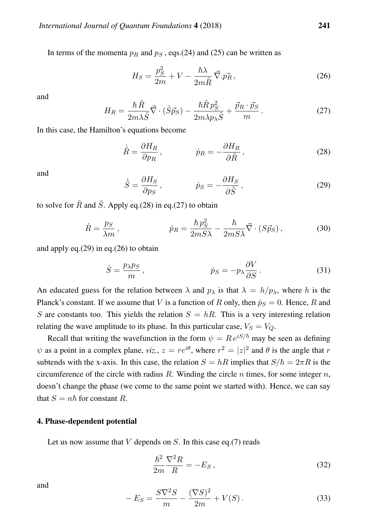In terms of the momenta  $p_R$  and  $p_S$ , eqs.(24) and (25) can be written as

$$
H_S = \frac{p_S^2}{2m} + V - \frac{\hbar\lambda}{2m\tilde{R}}\vec{\nabla}.\vec{p_R},\tag{26}
$$

and

$$
H_R = \frac{\hbar \,\tilde{R}}{2m\lambda\tilde{S}}\vec{\nabla}\cdot(\tilde{S}\vec{p}_S) - \frac{\hbar \tilde{R}\,p_S^2}{2m\lambda p_\lambda\tilde{S}} + \frac{\vec{p}_R \cdot \vec{p}_S}{m} \,. \tag{27}
$$

In this case, the Hamilton's equations become

$$
\dot{\tilde{R}} = \frac{\partial H_R}{\partial p_R}, \qquad \dot{p}_R = -\frac{\partial H_R}{\partial \tilde{R}}, \qquad (28)
$$

and

$$
\dot{\tilde{S}} = \frac{\partial H_S}{\partial p_S}, \qquad \dot{p}_S = -\frac{\partial H_S}{\partial \tilde{S}}, \qquad (29)
$$

to solve for  $\tilde{R}$  and  $\tilde{S}$ . Apply eq.(28) in eq.(27) to obtain

$$
\dot{R} = \frac{p_S}{\lambda m}, \qquad \dot{p}_R = \frac{\hbar p_S^2}{2mS\lambda} - \frac{\hbar}{2mS\lambda}\vec{\nabla} \cdot (S\vec{p}_S), \qquad (30)
$$

and apply eq.(29) in eq.(26) to obtain

$$
\dot{S} = \frac{p_{\lambda} p_S}{m}, \qquad \dot{p}_S = -p_{\lambda} \frac{\partial V}{\partial S}.
$$
 (31)

An educated guess for the relation between  $\lambda$  and  $p_{\lambda}$  is that  $\lambda = h/p_{\lambda}$ , where h is the Planck's constant. If we assume that V is a function of R only, then  $\dot{p}_S = 0$ . Hence, R and S are constants too. This yields the relation  $S = hR$ . This is a very interesting relation relating the wave amplitude to its phase. In this particular case,  $V_s = V_O$ .

Recall that writing the wavefunction in the form  $\psi = Re^{iS/\hbar}$  may be seen as defining  $\psi$  as a point in a complex plane, *viz.*,  $z = re^{i\theta}$ , where  $r^2 = |z|^2$  and  $\theta$  is the angle that r subtends with the x-axis. In this case, the relation  $S = hR$  implies that  $S/\hbar = 2\pi R$  is the circumference of the circle with radius  $R$ . Winding the circle  $n$  times, for some integer  $n$ , doesn't change the phase (we come to the same point we started with). Hence, we can say that  $S = n\hbar$  for constant R.

## 4. Phase-dependent potential

Let us now assume that  $V$  depends on  $S$ . In this case eq.(7) reads

$$
\frac{\hbar^2}{2m}\frac{\nabla^2 R}{R} = -E_S\,,\tag{32}
$$

$$
-E_S = \frac{S\nabla^2 S}{m} - \frac{(\nabla S)^2}{2m} + V(S).
$$
 (33)

and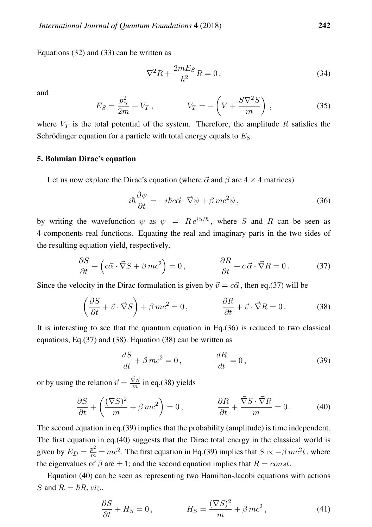Equations (32) and (33) can be written as

$$
\nabla^2 R + \frac{2mE_S}{\hbar^2} R = 0, \qquad (34)
$$

and

$$
E_S = \frac{p_S^2}{2m} + V_T, \qquad V_T = -\left(V + \frac{S\nabla^2 S}{m}\right), \qquad (35)
$$

where  $V_T$  is the total potential of the system. Therefore, the amplitude R satisfies the Schrödinger equation for a particle with total energy equals to  $E<sub>S</sub>$ .

## 5. Bohmian Dirac's equation

Let us now explore the Dirac's equation (where  $\vec{\alpha}$  and  $\beta$  are  $4 \times 4$  matrices)

$$
i\hbar \frac{\partial \psi}{\partial t} = -i\hbar c \vec{\alpha} \cdot \vec{\nabla} \psi + \beta mc^2 \psi , \qquad (36)
$$

by writing the wavefunction  $\psi$  as  $\psi = Re^{iS/\hbar}$ , where S and R can be seen as 4-components real functions. Equating the real and imaginary parts in the two sides of the resulting equation yield, respectively,

$$
\frac{\partial S}{\partial t} + \left(c\vec{\alpha}\cdot\vec{\nabla}S + \beta mc^2\right) = 0, \qquad \frac{\partial R}{\partial t} + c\vec{\alpha}\cdot\vec{\nabla}R = 0. \tag{37}
$$

Since the velocity in the Dirac formulation is given by  $\vec{v} = c\vec{\alpha}$ , then eq.(37) will be

$$
\left(\frac{\partial S}{\partial t} + \vec{v} \cdot \vec{\nabla} S\right) + \beta mc^2 = 0, \qquad \frac{\partial R}{\partial t} + \vec{v} \cdot \vec{\nabla} R = 0. \qquad (38)
$$

It is interesting to see that the quantum equation in  $Eq.(36)$  is reduced to two classical equations, Eq.(37) and (38). Equation (38) can be written as

$$
\frac{dS}{dt} + \beta mc^2 = 0, \qquad \frac{dR}{dt} = 0,
$$
\n(39)

or by using the relation  $\vec{v} = \frac{\vec{\nabla}S}{m}$  $\frac{\sqrt{S}}{m}$  in eq.(38) yields

$$
\frac{\partial S}{\partial t} + \left(\frac{(\nabla S)^2}{m} + \beta mc^2\right) = 0, \qquad \frac{\partial R}{\partial t} + \frac{\vec{\nabla} S \cdot \vec{\nabla} R}{m} = 0. \qquad (40)
$$

The second equation in eq.(39) implies that the probability (amplitude) is time independent. The first equation in eq.(40) suggests that the Dirac total energy in the classical world is given by  $E_D = \frac{p^2}{m} \pm mc^2$ . The first equation in Eq.(39) implies that  $S \propto -\beta mc^2 t$ , where the eigenvalues of  $\beta$  are  $\pm 1$ ; and the second equation implies that  $R = const.$ 

Equation (40) can be seen as representing two Hamilton-Jacobi equations with actions S and  $\mathcal{R} = \hbar R$ , *viz.*,

$$
\frac{\partial S}{\partial t} + H_S = 0, \qquad H_S = \frac{(\nabla S)^2}{m} + \beta mc^2, \qquad (41)
$$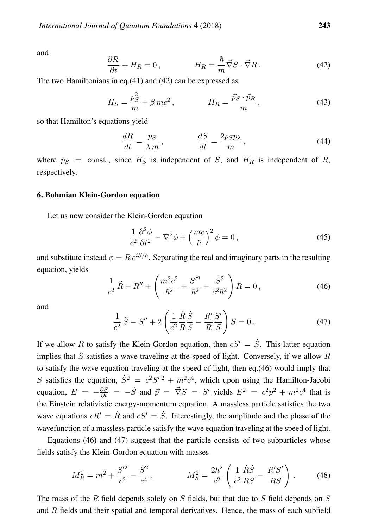and

$$
\frac{\partial \mathcal{R}}{\partial t} + H_R = 0, \qquad H_R = \frac{\hbar}{m} \vec{\nabla} S \cdot \vec{\nabla} R. \qquad (42)
$$

The two Hamiltonians in eq.(41) and (42) can be expressed as

$$
H_S = \frac{p_S^2}{m} + \beta mc^2, \qquad H_R = \frac{\vec{p}_S \cdot \vec{p}_R}{m}, \qquad (43)
$$

so that Hamilton's equations yield

$$
\frac{dR}{dt} = \frac{ps}{\lambda m}, \qquad \frac{dS}{dt} = \frac{2psp_{\lambda}}{m}, \qquad (44)
$$

where  $p_S$  = const., since  $H_S$  is independent of S, and  $H_R$  is independent of R, respectively.

#### 6. Bohmian Klein-Gordon equation

Let us now consider the Klein-Gordon equation

$$
\frac{1}{c^2} \frac{\partial^2 \phi}{\partial t^2} - \nabla^2 \phi + \left(\frac{mc}{\hbar}\right)^2 \phi = 0, \qquad (45)
$$

and substitute instead  $\phi = Re^{iS/\hbar}$ . Separating the real and imaginary parts in the resulting equation, yields

$$
\frac{1}{c^2}\ddot{R} - R'' + \left(\frac{m^2c^2}{\hbar^2} + \frac{S'^2}{\hbar^2} - \frac{\dot{S}^2}{c^2\hbar^2}\right)R = 0,
$$
\n(46)

and

$$
\frac{1}{c^2}\ddot{S} - S'' + 2\left(\frac{1}{c^2}\frac{\dot{R}\dot{S}}{R}\frac{S}{S} - \frac{R'}{R}\frac{S'}{S}\right)S = 0.
$$
\n(47)

If we allow R to satisfy the Klein-Gordon equation, then  $cS' = \dot{S}$ . This latter equation implies that S satisfies a wave traveling at the speed of light. Conversely, if we allow R to satisfy the wave equation traveling at the speed of light, then eq.(46) would imply that S satisfies the equation,  $\dot{S}^2 = c^2 S'^2 + m^2 c^4$ , which upon using the Hamilton-Jacobi equation,  $E = -\frac{\partial S}{\partial t} = -\dot{S}$  and  $\vec{p} = \vec{\nabla}S = S'$  yields  $E^2 = c^2p^2 + m^2c^4$  that is the Einstein relativistic energy-momentum equation. A massless particle satisfies the two wave equations  $cR' = \dot{R}$  and  $cS' = \dot{S}$ . Interestingly, the amplitude and the phase of the wavefunction of a massless particle satisfy the wave equation traveling at the speed of light.

Equations (46) and (47) suggest that the particle consists of two subparticles whose fields satisfy the Klein-Gordon equation with masses

$$
M_R^2 = m^2 + \frac{S^{\prime 2}}{c^2} - \frac{\dot{S}^2}{c^4} , \qquad M_S^2 = \frac{2\hbar^2}{c^2} \left( \frac{1}{c^2} \frac{\dot{R}\dot{S}}{RS} - \frac{R^{\prime}S^{\prime}}{RS} \right) . \tag{48}
$$

The mass of the R field depends solely on S fields, but that due to S field depends on  $S$ and  $R$  fields and their spatial and temporal derivatives. Hence, the mass of each subfield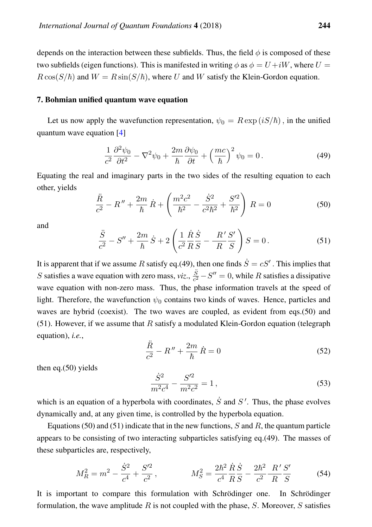depends on the interaction between these subfields. Thus, the field  $\phi$  is composed of these two subfields (eigen functions). This is manifested in writing  $\phi$  as  $\phi = U + iW$ , where  $U =$  $R\cos(S/\hbar)$  and  $W = R\sin(S/\hbar)$ , where U and W satisfy the Klein-Gordon equation.

#### 7. Bohmian unified quantum wave equation

Let us now apply the wavefunction representation,  $\psi_0 = R \exp(iS/\hbar)$ , in the unified quantum wave equation [\[4\]](#page-11-2)

$$
\frac{1}{c^2} \frac{\partial^2 \psi_0}{\partial t^2} - \nabla^2 \psi_0 + \frac{2m}{\hbar} \frac{\partial \psi_0}{\partial t} + \left(\frac{mc}{\hbar}\right)^2 \psi_0 = 0. \tag{49}
$$

Equating the real and imaginary parts in the two sides of the resulting equation to each other, yields

$$
\frac{\ddot{R}}{c^2} - R'' + \frac{2m}{\hbar} \dot{R} + \left( \frac{m^2 c^2}{\hbar^2} - \frac{\dot{S}^2}{c^2 \hbar^2} + \frac{S'^2}{\hbar^2} \right) R = 0 \tag{50}
$$

and

$$
\frac{\ddot{S}}{c^2} - S'' + \frac{2m}{\hbar} \dot{S} + 2 \left( \frac{1}{c^2} \frac{\dot{R}}{R} \frac{\dot{S}}{S} - \frac{R'}{R} \frac{S'}{S} \right) S = 0.
$$
 (51)

It is apparent that if we assume R satisfy eq.(49), then one finds  $\dot{S} = cS'$  . This implies that S satisfies a wave equation with zero mass, *viz.*,  $\frac{\ddot{S}}{c^2}$  $\frac{S}{c^2} - S'' = 0$ , while R satisfies a dissipative wave equation with non-zero mass. Thus, the phase information travels at the speed of light. Therefore, the wavefunction  $\psi_0$  contains two kinds of waves. Hence, particles and waves are hybrid (coexist). The two waves are coupled, as evident from eqs.(50) and (51). However, if we assume that  $R$  satisfy a modulated Klein-Gordon equation (telegraph equation), *i.e.*,

$$
\frac{\ddot{R}}{c^2} - R'' + \frac{2m}{\hbar} \dot{R} = 0
$$
\n(52)

then eq.(50) yields

$$
\frac{\dot{S}^2}{m^2 c^4} - \frac{S'^2}{m^2 c^2} = 1\,,\tag{53}
$$

which is an equation of a hyperbola with coordinates,  $\dot{S}$  and  $S'$ . Thus, the phase evolves dynamically and, at any given time, is controlled by the hyperbola equation.

Equations (50) and (51) indicate that in the new functions, S and R, the quantum particle appears to be consisting of two interacting subparticles satisfying eq.(49). The masses of these subparticles are, respectively,

$$
M_R^2 = m^2 - \frac{\dot{S}^2}{c^4} + \frac{S'^2}{c^2}, \qquad M_S^2 = \frac{2\hbar^2}{c^4} \frac{\dot{R}\,\dot{S}}{R\,S} - \frac{2\hbar^2}{c^2} \frac{R'\,S'}{R\,S} \tag{54}
$$

It is important to compare this formulation with Schrödinger one. In Schrödinger formulation, the wave amplitude R is not coupled with the phase, S. Moreover, S satisfies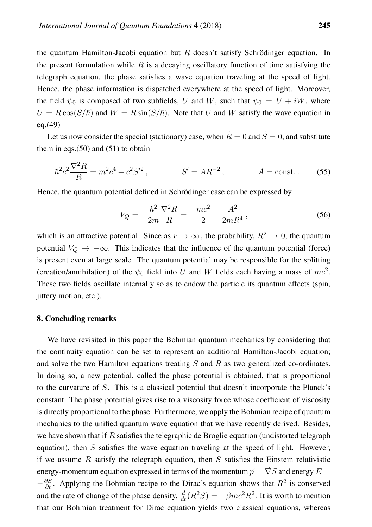the quantum Hamilton-Jacobi equation but  $R$  doesn't satisfy Schrödinger equation. In the present formulation while R is a decaying oscillatory function of time satisfying the telegraph equation, the phase satisfies a wave equation traveling at the speed of light. Hence, the phase information is dispatched everywhere at the speed of light. Moreover, the field  $\psi_0$  is composed of two subfields, U and W, such that  $\psi_0 = U + iW$ , where  $U = R \cos(S/\hbar)$  and  $W = R \sin(S/\hbar)$ . Note that U and W satisfy the wave equation in eq.(49)

Let us now consider the special (stationary) case, when  $\dot{R} = 0$  and  $\dot{S} = 0$ , and substitute them in eqs. $(50)$  and  $(51)$  to obtain

$$
\hbar^2 c^2 \frac{\nabla^2 R}{R} = m^2 c^4 + c^2 S'^2, \qquad S' = AR^{-2}, \qquad A = \text{const.} \tag{55}
$$

Hence, the quantum potential defined in Schrödinger case can be expressed by

$$
V_Q = -\frac{\hbar^2}{2m} \frac{\nabla^2 R}{R} = -\frac{mc^2}{2} - \frac{A^2}{2mR^4},\tag{56}
$$

which is an attractive potential. Since as  $r \to \infty$ , the probability,  $R^2 \to 0$ , the quantum potential  $V_Q \rightarrow -\infty$ . This indicates that the influence of the quantum potential (force) is present even at large scale. The quantum potential may be responsible for the splitting (creation/annihilation) of the  $\psi_0$  field into U and W fields each having a mass of  $mc^2$ . These two fields oscillate internally so as to endow the particle its quantum effects (spin, jittery motion, etc.).

#### 8. Concluding remarks

We have revisited in this paper the Bohmian quantum mechanics by considering that the continuity equation can be set to represent an additional Hamilton-Jacobi equation; and solve the two Hamilton equations treating  $S$  and  $R$  as two generalized co-ordinates. In doing so, a new potential, called the phase potential is obtained, that is proportional to the curvature of S. This is a classical potential that doesn't incorporate the Planck's constant. The phase potential gives rise to a viscosity force whose coefficient of viscosity is directly proportional to the phase. Furthermore, we apply the Bohmian recipe of quantum mechanics to the unified quantum wave equation that we have recently derived. Besides, we have shown that if  $R$  satisfies the telegraphic de Broglie equation (undistorted telegraph equation), then  $S$  satisfies the wave equation traveling at the speed of light. However, if we assume R satisfy the telegraph equation, then S satisfies the Einstein relativistic energy-momentum equation expressed in terms of the momentum  $\vec{p} = \vec{\nabla} S$  and energy  $E =$  $-\frac{\partial S}{\partial t}$ . Applying the Bohmian recipe to the Dirac's equation shows that  $R^2$  is conserved and the rate of change of the phase density,  $\frac{d}{dt}(R^2S) = -\beta mc^2R^2$ . It is worth to mention that our Bohmian treatment for Dirac equation yields two classical equations, whereas